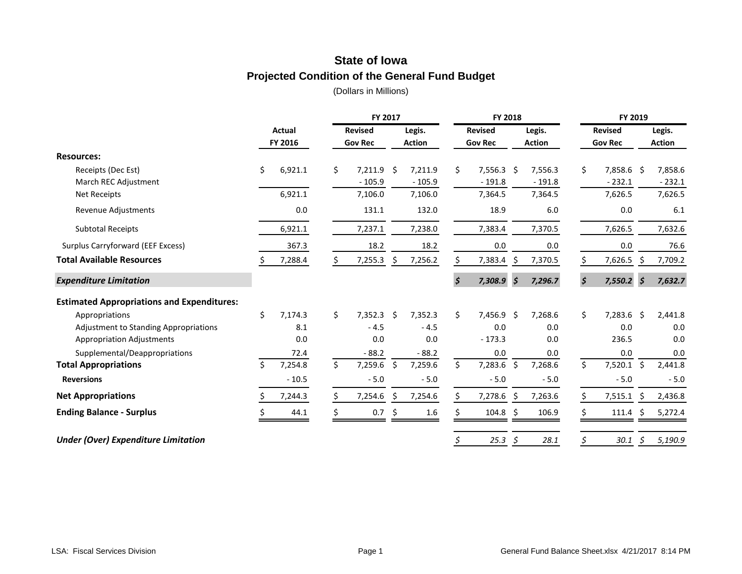# **State of Iowa Projected Condition of the General Fund Budget**

|                                                   |    |                          |    | FY 2017                          |     |                         | FY 2018                          |                      |                         |    | FY 2019                          |    |                         |
|---------------------------------------------------|----|--------------------------|----|----------------------------------|-----|-------------------------|----------------------------------|----------------------|-------------------------|----|----------------------------------|----|-------------------------|
|                                                   |    | <b>Actual</b><br>FY 2016 |    | <b>Revised</b><br><b>Gov Rec</b> |     | Legis.<br><b>Action</b> | <b>Revised</b><br><b>Gov Rec</b> |                      | Legis.<br><b>Action</b> |    | <b>Revised</b><br><b>Gov Rec</b> |    | Legis.<br><b>Action</b> |
| <b>Resources:</b>                                 |    |                          |    |                                  |     |                         |                                  |                      |                         |    |                                  |    |                         |
| Receipts (Dec Est)                                | Ś. | 6,921.1                  | \$ | 7,211.9                          | \$  | 7,211.9                 | \$<br>$7,556.3$ \$               |                      | 7,556.3                 | \$ | 7,858.6 \$                       |    | 7,858.6                 |
| March REC Adjustment                              |    |                          |    | $-105.9$                         |     | $-105.9$                | $-191.8$                         |                      | $-191.8$                |    | $-232.1$                         |    | $-232.1$                |
| <b>Net Receipts</b>                               |    | 6,921.1                  |    | 7,106.0                          |     | 7,106.0                 | 7,364.5                          |                      | 7,364.5                 |    | 7,626.5                          |    | 7,626.5                 |
| Revenue Adjustments                               |    | 0.0                      |    | 131.1                            |     | 132.0                   | 18.9                             |                      | 6.0                     |    | 0.0                              |    | 6.1                     |
| <b>Subtotal Receipts</b>                          |    | 6,921.1                  |    | 7,237.1                          |     | 7,238.0                 | 7,383.4                          |                      | 7,370.5                 |    | 7,626.5                          |    | 7,632.6                 |
| Surplus Carryforward (EEF Excess)                 |    | 367.3                    |    | 18.2                             |     | 18.2                    | 0.0                              |                      | 0.0                     |    | 0.0                              |    | 76.6                    |
| <b>Total Available Resources</b>                  |    | 7,288.4                  |    | 7,255.3                          |     | 7,256.2                 | 7,383.4                          | \$.                  | 7,370.5                 | Ś. | 7,626.5                          | -S | 7,709.2                 |
| <b>Expenditure Limitation</b>                     |    |                          |    |                                  |     |                         | \$<br>7,308.9                    | $\boldsymbol{\zeta}$ | 7,296.7                 | \$ | $7,550.2$ \$                     |    | 7,632.7                 |
| <b>Estimated Appropriations and Expenditures:</b> |    |                          |    |                                  |     |                         |                                  |                      |                         |    |                                  |    |                         |
| Appropriations                                    | \$ | 7,174.3                  | \$ | 7,352.3                          | Ŝ.  | 7,352.3                 | \$<br>7,456.9 \$                 |                      | 7,268.6                 | \$ | $7,283.6$ \$                     |    | 2,441.8                 |
| <b>Adjustment to Standing Appropriations</b>      |    | 8.1                      |    | $-4.5$                           |     | $-4.5$                  | 0.0                              |                      | 0.0                     |    | 0.0                              |    | 0.0                     |
| <b>Appropriation Adjustments</b>                  |    | 0.0                      |    | 0.0                              |     | 0.0                     | $-173.3$                         |                      | 0.0                     |    | 236.5                            |    | 0.0                     |
| Supplemental/Deappropriations                     |    | 72.4                     |    | $-88.2$                          |     | $-88.2$                 | 0.0                              |                      | 0.0                     |    | 0.0                              |    | 0.0                     |
| <b>Total Appropriations</b>                       | Ś. | 7,254.8                  | Ś. | 7,259.6                          | \$  | 7,259.6                 | \$<br>$7,283.6$ \$               |                      | 7,268.6                 | \$ | $7,520.1$ \$                     |    | 2,441.8                 |
| <b>Reversions</b>                                 |    | $-10.5$                  |    | $-5.0$                           |     | $-5.0$                  | $-5.0$                           |                      | $-5.0$                  |    | $-5.0$                           |    | $-5.0$                  |
| <b>Net Appropriations</b>                         |    | 7,244.3                  |    | 7,254.6                          | \$. | 7,254.6                 | 7,278.6 \$                       |                      | 7,263.6                 | \$ | $7,515.1$ \$                     |    | 2,436.8                 |
| <b>Ending Balance - Surplus</b>                   |    | 44.1                     |    | 0.7                              | -S  | 1.6                     | 104.8                            | Ŝ                    | 106.9                   |    | 111.4                            |    | 5,272.4                 |
| <b>Under (Over) Expenditure Limitation</b>        |    |                          |    |                                  |     |                         | \$<br>25.3                       | \$                   | 28.1                    | \$ | 30.1                             | \$ | 5,190.9                 |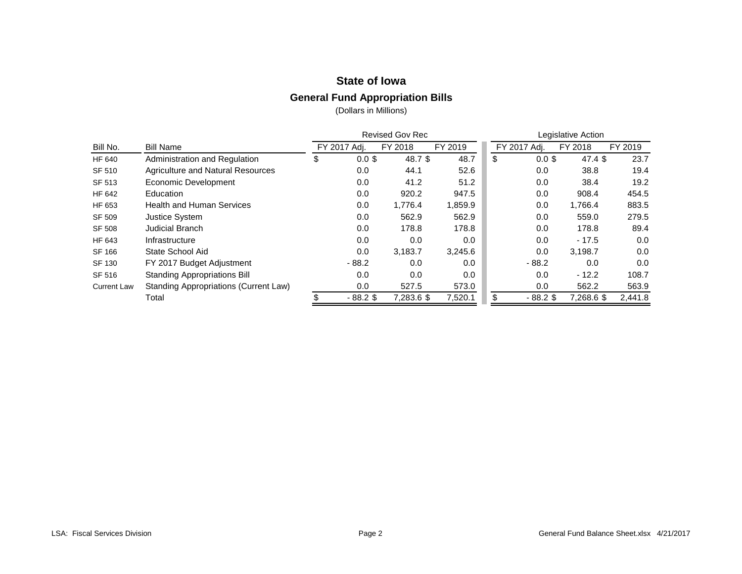# **State of Iowa**

#### **General Fund Appropriation Bills**

|                    |                                              |                | <b>Revised Gov Rec</b> |         |                | Legislative Action |         |
|--------------------|----------------------------------------------|----------------|------------------------|---------|----------------|--------------------|---------|
| Bill No.           | <b>Bill Name</b>                             | FY 2017 Adi.   | FY 2018                | FY 2019 | FY 2017 Adj.   | FY 2018            | FY 2019 |
| HF 640             | Administration and Regulation                | \$<br>$0.0$ \$ | 48.7 \$                | 48.7    | \$<br>$0.0$ \$ | 47.4~\$            | 23.7    |
| SF 510             | Agriculture and Natural Resources            | 0.0            | 44.1                   | 52.6    | 0.0            | 38.8               | 19.4    |
| SF 513             | Economic Development                         | 0.0            | 41.2                   | 51.2    | 0.0            | 38.4               | 19.2    |
| HF 642             | Education                                    | 0.0            | 920.2                  | 947.5   | 0.0            | 908.4              | 454.5   |
| HF 653             | <b>Health and Human Services</b>             | 0.0            | 1.776.4                | 1,859.9 | 0.0            | 1,766.4            | 883.5   |
| <b>SF 509</b>      | <b>Justice System</b>                        | 0.0            | 562.9                  | 562.9   | 0.0            | 559.0              | 279.5   |
| <b>SF 508</b>      | <b>Judicial Branch</b>                       | 0.0            | 178.8                  | 178.8   | 0.0            | 178.8              | 89.4    |
| HF 643             | Infrastructure                               | 0.0            | 0.0                    | 0.0     | 0.0            | $-17.5$            | 0.0     |
| SF 166             | State School Aid                             | 0.0            | 3,183.7                | 3,245.6 | 0.0            | 3,198.7            | 0.0     |
| SF 130             | FY 2017 Budget Adjustment                    | $-88.2$        | 0.0                    | 0.0     | $-88.2$        | 0.0                | 0.0     |
| SF 516             | <b>Standing Appropriations Bill</b>          | 0.0            | 0.0                    | 0.0     | 0.0            | $-12.2$            | 108.7   |
| <b>Current Law</b> | <b>Standing Appropriations (Current Law)</b> | 0.0            | 527.5                  | 573.0   | 0.0            | 562.2              | 563.9   |
|                    | Total                                        | $-88.2$ \$     | 7,283.6 \$             | 7,520.1 | $-88.2$ \$     | 7,268.6 \$         | 2,441.8 |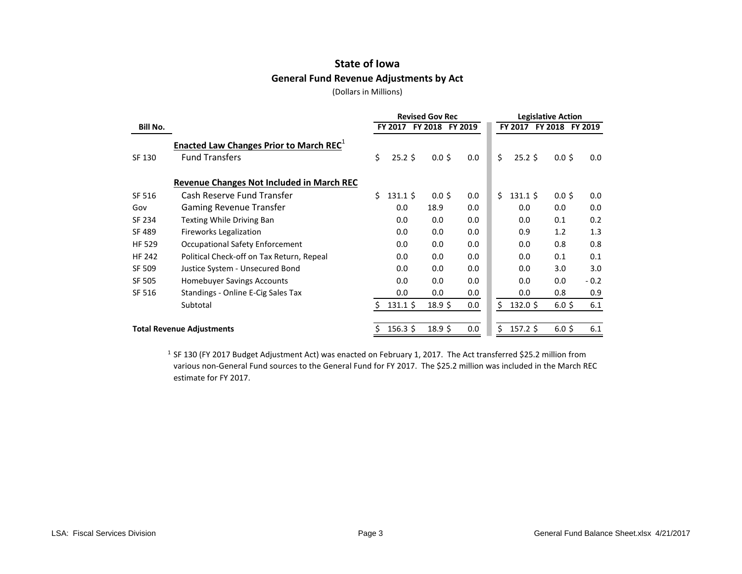# **State of Iowa General Fund Revenue Adjustments by Act**

(Dollars in Millions)

|                 |                                                     |    |                  | <b>Revised Gov Rec</b> |         |     |    |                  | <b>Legislative Action</b> |                  |
|-----------------|-----------------------------------------------------|----|------------------|------------------------|---------|-----|----|------------------|---------------------------|------------------|
| <b>Bill No.</b> |                                                     |    | FY 2017          | <b>FY 2018</b>         | FY 2019 |     |    | FY 2017          | FY 2018 FY 2019           |                  |
|                 | Enacted Law Changes Prior to March REC <sup>1</sup> |    |                  |                        |         |     |    |                  |                           |                  |
| SF 130          | <b>Fund Transfers</b>                               | \$ | $25.2$ \$        | 0.05                   |         | 0.0 | \$ | $25.2$ \$        | 0.05                      | 0.0 <sub>1</sub> |
|                 | Revenue Changes Not Included in March REC           |    |                  |                        |         |     |    |                  |                           |                  |
| SF 516          | Cash Reserve Fund Transfer                          | Ś. | $131.1 \text{ }$ | 0.05                   |         | 0.0 | \$ | $131.1 \text{ }$ | $0.0$ \$                  | 0.0              |
| Gov             | <b>Gaming Revenue Transfer</b>                      |    | 0.0              | 18.9                   |         | 0.0 |    | 0.0              | 0.0                       | 0.0              |
| SF 234          | Texting While Driving Ban                           |    | 0.0              | 0.0                    |         | 0.0 |    | 0.0              | 0.1                       | 0.2              |
| SF 489          | <b>Fireworks Legalization</b>                       |    | 0.0              | 0.0                    |         | 0.0 |    | 0.9              | 1.2                       | 1.3              |
| <b>HF 529</b>   | Occupational Safety Enforcement                     |    | 0.0              | 0.0                    |         | 0.0 |    | 0.0              | 0.8                       | 0.8              |
| <b>HF 242</b>   | Political Check-off on Tax Return, Repeal           |    | 0.0              | 0.0                    |         | 0.0 |    | 0.0              | 0.1                       | 0.1              |
| SF 509          | Justice System - Unsecured Bond                     |    | 0.0              | 0.0                    |         | 0.0 |    | 0.0              | 3.0                       | 3.0              |
| <b>SF 505</b>   | <b>Homebuyer Savings Accounts</b>                   |    | 0.0              | 0.0                    |         | 0.0 |    | 0.0              | 0.0                       | $-0.2$           |
| SF 516          | Standings - Online E-Cig Sales Tax                  |    | 0.0              | 0.0                    |         | 0.0 |    | 0.0              | 0.8                       | 0.9              |
|                 | Subtotal                                            | Š. | $131.1 \text{ }$ | 18.9 <sup>5</sup>      |         | 0.0 | \$ | $132.0 \text{ }$ | $6.0$ \$                  | 6.1              |
|                 | <b>Total Revenue Adjustments</b>                    |    | $156.3 \text{ }$ | 18.9 <sup>5</sup>      |         | 0.0 | Ś. | $157.2$ \$       | $6.0$ \$                  | 6.1              |

<sup>1</sup> SF 130 (FY 2017 Budget Adjustment Act) was enacted on February 1, 2017. The Act transferred \$25.2 million from various non-General Fund sources to the General Fund for FY 2017. The \$25.2 million was included in the March REC estimate for FY 2017.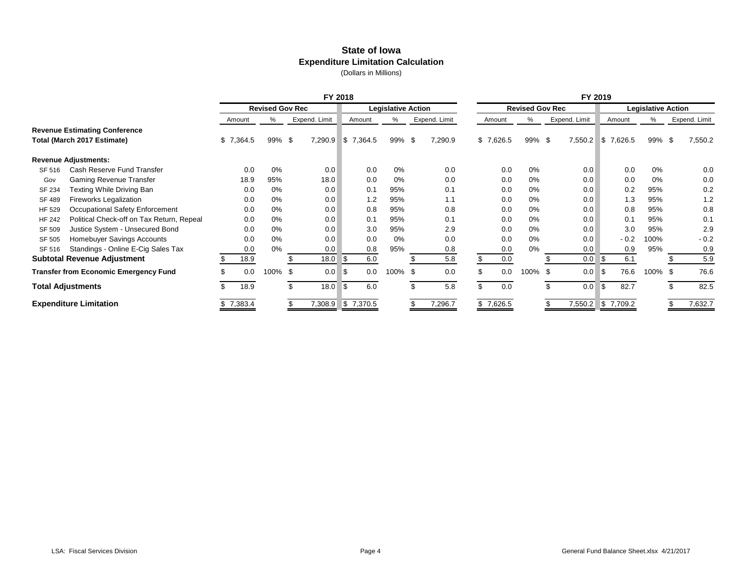#### **State of Iowa Expenditure Limitation Calculation** (Dollars in Millions)

|               |                                              | FY 2018   |                        |    |               |      |           |                           |  |               |     |           |                        |      |               | FY 2019 |           |                           |               |
|---------------|----------------------------------------------|-----------|------------------------|----|---------------|------|-----------|---------------------------|--|---------------|-----|-----------|------------------------|------|---------------|---------|-----------|---------------------------|---------------|
|               |                                              |           | <b>Revised Gov Rec</b> |    |               |      |           | <b>Legislative Action</b> |  |               |     |           | <b>Revised Gov Rec</b> |      |               |         |           | <b>Legislative Action</b> |               |
|               |                                              | Amount    | %                      |    | Expend. Limit |      | Amount    | %                         |  | Expend. Limit |     | Amount    | ℅                      |      | Expend. Limit |         | Amount    | %                         | Expend. Limit |
|               | <b>Revenue Estimating Conference</b>         |           |                        |    |               |      |           |                           |  |               |     |           |                        |      |               |         |           |                           |               |
|               | Total (March 2017 Estimate)                  | \$7,364.5 | 99% \$                 |    | 7,290.9       | S.   | 7,364.5   | 99% \$                    |  | 7,290.9       |     | \$7,626.5 | 99% \$                 |      | 7,550.2       |         | \$7,626.5 | 99% \$                    | 7,550.2       |
|               | <b>Revenue Adjustments:</b>                  |           |                        |    |               |      |           |                           |  |               |     |           |                        |      |               |         |           |                           |               |
| SF 516        | Cash Reserve Fund Transfer                   | 0.0       | 0%                     |    | 0.0           |      | 0.0       | 0%                        |  | 0.0           |     | 0.0       | 0%                     |      | 0.0           |         | 0.0       | 0%                        | 0.0           |
| Gov           | <b>Gaming Revenue Transfer</b>               | 18.9      | 95%                    |    | 18.0          |      | 0.0       | 0%                        |  | 0.0           |     | 0.0       | $0\%$                  |      | 0.0           |         | 0.0       | 0%                        | 0.0           |
| SF 234        | Texting While Driving Ban                    | 0.0       | $0\%$                  |    | 0.0           |      | 0.1       | 95%                       |  | 0.1           |     | 0.0       | 0%                     |      | 0.0           |         | 0.2       | 95%                       | 0.2           |
| SF 489        | <b>Fireworks Legalization</b>                | 0.0       | 0%                     |    | 0.0           |      | 1.2       | 95%                       |  | 1.1           |     | 0.0       | 0%                     |      | 0.0           |         | 1.3       | 95%                       | 1.2           |
| HF 529        | Occupational Safety Enforcement              | 0.0       | 0%                     |    | 0.0           |      | 0.8       | 95%                       |  | 0.8           |     | 0.0       | 0%                     |      | 0.0           |         | 0.8       | 95%                       | 0.8           |
| <b>HF 242</b> | Political Check-off on Tax Return, Repeal    | 0.0       | $0\%$                  |    | 0.0           |      | 0.1       | 95%                       |  | 0.1           |     | 0.0       | 0%                     |      | 0.0           |         | 0.1       | 95%                       | 0.1           |
| SF 509        | Justice System - Unsecured Bond              | 0.0       | 0%                     |    | 0.0           |      | 3.0       | 95%                       |  | 2.9           |     | 0.0       | 0%                     |      | 0.0           |         | 3.0       | 95%                       | 2.9           |
| SF 505        | Homebuyer Savings Accounts                   | 0.0       | 0%                     |    | 0.0           |      | 0.0       | 0%                        |  | 0.0           |     | 0.0       | 0%                     |      | 0.0           |         | $-0.2$    | 100%                      | $-0.2$        |
| SF 516        | Standings - Online E-Cig Sales Tax           | 0.0       | $0\%$                  |    | 0.0           |      | 0.8       | 95%                       |  | 0.8           |     | 0.0       | 0%                     |      | 0.0           |         | 0.9       | 95%                       | 0.9           |
|               | <b>Subtotal Revenue Adjustment</b>           | 18.9      |                        |    | 18.0          | l S  | 6.0       |                           |  | 5.8           |     | 0.0       |                        |      | 0.0           | Ι\$     | 6.1       |                           | 5.9           |
|               | <b>Transfer from Economic Emergency Fund</b> | 0.0       | 100%                   | \$ | 0.0           | l S  | 0.0       | 100% \$                   |  | 0.0           | \$  | 0.0       | 100%                   | - \$ | 0.0           | ا \$    | 76.6      | 100% \$                   | 76.6          |
|               | <b>Total Adjustments</b>                     | 18.9      |                        | \$ | 18.0          | l \$ | 6.0       |                           |  | 5.8           | \$. | 0.0       |                        |      | 0.0           | 5       | 82.7      |                           | 82.5          |
|               | <b>Expenditure Limitation</b>                | \$7,383.4 |                        |    | 7,308.9       |      | \$7,370.5 |                           |  | 7,296.7       |     | \$7,626.5 |                        |      | 7,550.2       |         | \$7,709.2 |                           | 7,632.7       |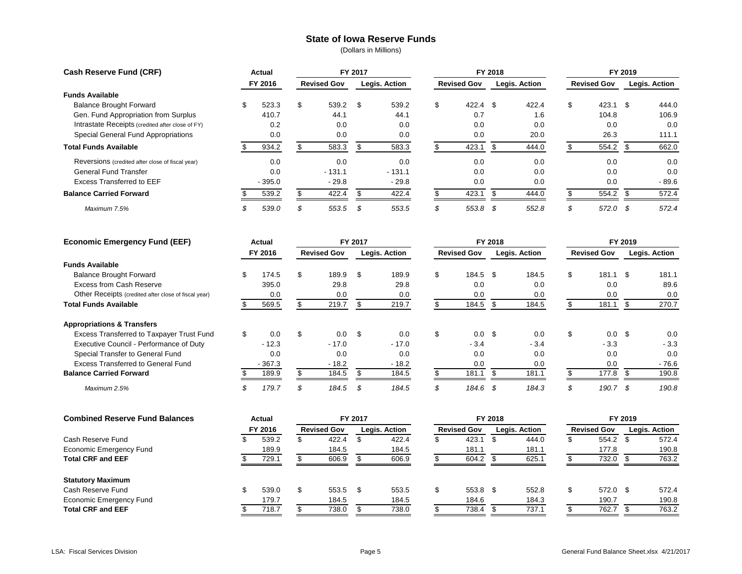#### **State of Iowa Reserve Funds**

| <b>Cash Reserve Fund (CRF)</b>                   | Actual   |                    | FY 2017 |               |                    | FY 2018 |               |                    | FY 2019 |               |
|--------------------------------------------------|----------|--------------------|---------|---------------|--------------------|---------|---------------|--------------------|---------|---------------|
|                                                  | FY 2016  | <b>Revised Gov</b> |         | Legis. Action | <b>Revised Gov</b> |         | Legis. Action | <b>Revised Gov</b> |         | Legis. Action |
| <b>Funds Available</b>                           |          |                    |         |               |                    |         |               |                    |         |               |
| <b>Balance Brought Forward</b>                   | 523.3    | \$<br>539.2        | -\$     | 539.2         | \$<br>422.4        | - \$    | 422.4         | \$<br>423.1        | -\$     | 444.0         |
| Gen. Fund Appropriation from Surplus             | 410.7    | 44.1               |         | 44.1          | 0.7                |         | 1.6           | 104.8              |         | 106.9         |
| Intrastate Receipts (credited after close of FY) | 0.2      | 0.0                |         | 0.0           | 0.0                |         | 0.0           | 0.0                |         | 0.0           |
| Special General Fund Appropriations              | 0.0      | 0.0                |         | 0.0           | 0.0                |         | 20.0          | 26.3               |         | 111.1         |
| <b>Total Funds Available</b>                     | 934.2    | 583.3              |         | 583.3         | 423.1              |         | 444.0         | 554.2              |         | 662.0         |
| Reversions (credited after close of fiscal year) | 0.0      | 0.0                |         | 0.0           | 0.0                |         | 0.0           | 0.0                |         | 0.0           |
| <b>General Fund Transfer</b>                     | 0.0      | $-131.1$           |         | $-131.1$      | 0.0                |         | 0.0           | 0.0                |         | 0.0           |
| <b>Excess Transferred to EEF</b>                 | $-395.0$ | $-29.8$            |         | $-29.8$       | 0.0                |         | 0.0           | 0.0                |         | $-89.6$       |
| <b>Balance Carried Forward</b>                   | 539.2    | 422.4              |         | 422.4         | 423.1              |         | 444.0         | 554.2              |         | 572.4         |
| Maximum 7.5%                                     | 539.0    | 553.5              | -35     | 553.5         | \$<br>553.8        | - \$    | 552.8         | \$<br>572.0        | -\$     | 572.4         |

| <b>Economic Emergency Fund (EEF)</b>                 | Actual   |                    | FY 2017 |               |                    | FY 2018 |               |    |                    | FY 2019 |               |
|------------------------------------------------------|----------|--------------------|---------|---------------|--------------------|---------|---------------|----|--------------------|---------|---------------|
|                                                      | FY 2016  | <b>Revised Gov</b> |         | Legis. Action | <b>Revised Gov</b> |         | Legis. Action |    | <b>Revised Gov</b> |         | Legis. Action |
| <b>Funds Available</b>                               |          |                    |         |               |                    |         |               |    |                    |         |               |
| <b>Balance Brought Forward</b>                       | 174.5    | \$<br>189.9        | S       | 189.9         | \$<br>184.5        | -\$     | 184.5         | \$ | 181.1              | - \$    | 181.1         |
| Excess from Cash Reserve                             | 395.0    | 29.8               |         | 29.8          | 0.0                |         | 0.0           |    | 0.0                |         | 89.6          |
| Other Receipts (credited after close of fiscal year) | 0.0      | 0.0                |         | 0.0           | 0.0                |         | 0.0           |    | 0.0                |         | 0.0           |
| <b>Total Funds Available</b>                         | 569.5    | 219.7              |         | 219.7         | 184.5              |         | 184.5         |    | 181.1              |         | 270.7         |
| <b>Appropriations &amp; Transfers</b>                |          |                    |         |               |                    |         |               |    |                    |         |               |
| Excess Transferred to Taxpayer Trust Fund            | 0.0      | \$<br>$0.0 \,$ \$  |         | 0.0           | \$<br>0.0          | \$      | 0.0           | \$ | 0.0                | -\$     | 0.0           |
| Executive Council - Performance of Duty              | $-12.3$  | $-17.0$            |         | $-17.0$       | $-3.4$             |         | $-3.4$        |    | $-3.3$             |         | $-3.3$        |
| Special Transfer to General Fund                     | 0.0      | 0.0                |         | 0.0           | 0.0                |         | 0.0           |    | 0.0                |         | 0.0           |
| Excess Transferred to General Fund                   | $-367.3$ | $-18.2$            |         | $-18.2$       | 0.0                |         | 0.0           |    | 0.0                |         | $-76.6$       |
| <b>Balance Carried Forward</b>                       | 189.9    | 184.5              |         | 184.5         | 181.1              |         | 181.1         |    | 177.8              |         | 190.8         |
| Maximum 2.5%                                         | 179.7    | 184.5              | -\$     | 184.5         | 184.6              | . ა     | 184.3         | S  | 190.7              | \$      | 190.8         |

| <b>Combined Reserve Fund Balances</b> | <b>Actual</b> |                    | FY 2017 |               |                    | FY 2018 |               |    |                    | FY 2019 |               |
|---------------------------------------|---------------|--------------------|---------|---------------|--------------------|---------|---------------|----|--------------------|---------|---------------|
|                                       | FY 2016       | <b>Revised Gov</b> |         | Legis. Action | <b>Revised Gov</b> |         | Legis. Action |    | <b>Revised Gov</b> |         | Legis. Action |
| Cash Reserve Fund                     | 539.2         | 422.4              |         | 422.4         | 423.1              |         | 444.0         | Œ. | 554.2 \$           |         | 572.4         |
| <b>Economic Emergency Fund</b>        | 189.9         | 184.5              |         | 184.5         | 181.1              |         | 181.1         |    | 177.8              |         | 190.8         |
| <b>Total CRF and EEF</b>              | 729.1         | 606.9              |         | 606.9         | 604.2              |         | 625.1         |    | 732.0              |         | 763.2         |
| <b>Statutory Maximum</b>              |               |                    |         |               |                    |         |               |    |                    |         |               |
| Cash Reserve Fund                     | 539.0         | 553.5 \$           |         | 553.5         | 553.8 \$           |         | 552.8         | \$ | 572.0 \$           |         | 572.4         |
| <b>Economic Emergency Fund</b>        | 179.7         | 184.5              |         | 184.5         | 184.6              |         | 184.3         |    | 190.7              |         | 190.8         |
| <b>Total CRF and EEF</b>              | 718.7         | 738.0              |         | 738.0         | 738.4              |         | 737.1         |    | 762.7              |         | 763.2         |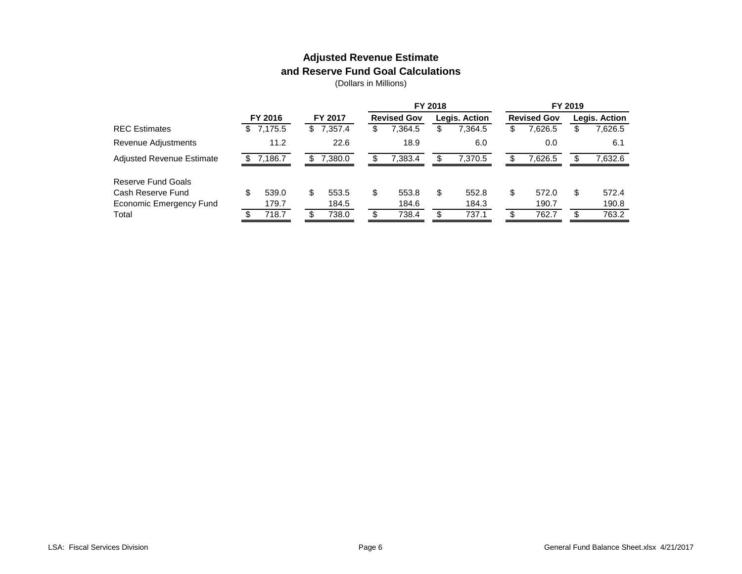### **Adjusted Revenue Estimate and Reserve Fund Goal Calculations**

|   |       |                                 |         |                      |         |                    |         |               |         |                    | Legis. Action |
|---|-------|---------------------------------|---------|----------------------|---------|--------------------|---------|---------------|---------|--------------------|---------------|
|   |       |                                 |         | \$                   | 7,364.5 | \$                 | 7,364.5 | \$            | 7,626.5 |                    | 7,626.5       |
|   | 11.2  |                                 | 22.6    |                      | 18.9    |                    | 6.0     |               | 0.0     |                    | 6.1           |
|   |       |                                 | 7.380.0 |                      | 7.383.4 |                    | 7.370.5 |               | 7.626.5 |                    | 7,632.6       |
|   |       |                                 |         |                      |         |                    |         |               |         |                    |               |
| S | 539.0 | \$                              | 553.5   | \$                   | 553.8   | S                  | 552.8   | \$            | 572.0   | S                  | 572.4         |
|   | 179.7 |                                 | 184.5   |                      | 184.6   |                    | 184.3   |               | 190.7   |                    | 190.8         |
|   | 718.7 | £.                              | 738.0   |                      | 738.4   |                    | 737.1   |               | 762.7   |                    | 763.2         |
|   |       | FY 2016<br>\$7,175.5<br>7,186.7 |         | FY 2017<br>\$7,357.4 |         | <b>Revised Gov</b> | FY 2018 | Legis. Action |         | <b>Revised Gov</b> | FY 2019       |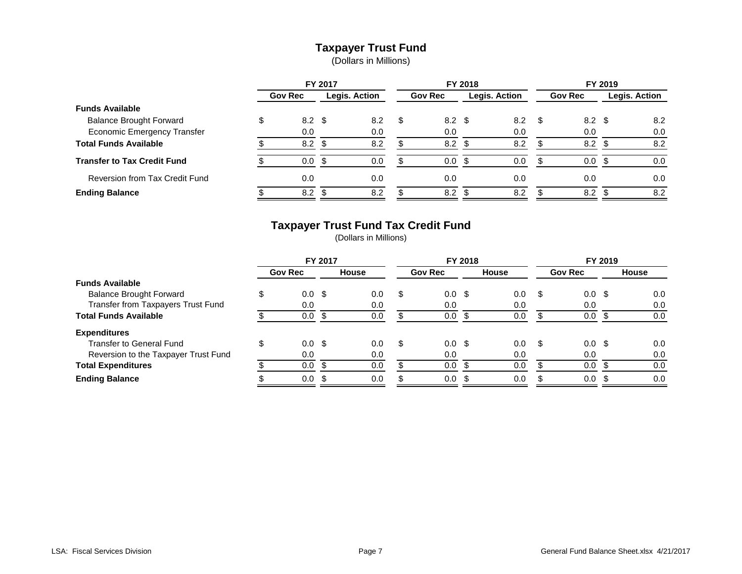#### **Taxpayer Trust Fund**

(Dollars in Millions)

|                                    |                        | FY 2017 |               |    |                | FY 2018 |               |      |                  | FY 2019 |                      |
|------------------------------------|------------------------|---------|---------------|----|----------------|---------|---------------|------|------------------|---------|----------------------|
|                                    | <b>Gov Rec</b>         |         | Legis. Action |    | <b>Gov Rec</b> |         | Legis. Action |      | <b>Gov Rec</b>   |         | <b>Legis. Action</b> |
| <b>Funds Available</b>             |                        |         |               |    |                |         |               |      |                  |         |                      |
| <b>Balance Brought Forward</b>     | \$<br>$8.2 \text{ } $$ |         | 8.2           | S. | $8.2 \quad $$  |         | 8.2           | - \$ | $8.2 \text{ } $$ |         | 8.2                  |
| <b>Economic Emergency Transfer</b> | 0.0                    |         | 0.0           |    | 0.0            |         | 0.0           |      | 0.0              |         | 0.0                  |
| <b>Total Funds Available</b>       | 8.2                    |         | 8.2           |    | 8.2            |         | 8.2           |      | 8.2              |         | 8.2                  |
| <b>Transfer to Tax Credit Fund</b> | 0.0                    |         | 0.0           |    | $0.0\,$        |         | 0.0           |      | 0.0              |         | 0.0                  |
| Reversion from Tax Credit Fund     | 0.0                    |         | 0.0           |    | 0.0            |         | 0.0           |      | 0.0              |         | 0.0                  |
| <b>Ending Balance</b>              | 8.2                    |         | 8.2           | ◠  | 8.2            | .Գ      | 8.2           |      | 8.2              |         | 8.2                  |

# **Taxpayer Trust Fund Tax Credit Fund**

|                                      |   |                  | FY 2017 |              |     | FY 2018        |     |              |      |                  | FY 2019 |              |
|--------------------------------------|---|------------------|---------|--------------|-----|----------------|-----|--------------|------|------------------|---------|--------------|
|                                      |   | <b>Gov Rec</b>   |         | <b>House</b> |     | <b>Gov Rec</b> |     | <b>House</b> |      | <b>Gov Rec</b>   |         | <b>House</b> |
| <b>Funds Available</b>               |   |                  |         |              |     |                |     |              |      |                  |         |              |
| <b>Balance Brought Forward</b>       |   | 0.0 <sup>5</sup> |         | 0.0          | \$  | $0.0 \,$ \$    |     | 0.0          | \$.  | $0.0 \,$ \$      |         | 0.0          |
| Transfer from Taxpayers Trust Fund   |   | 0.0              |         | 0.0          |     | 0.0            |     | 0.0          |      | 0.0              |         | 0.0          |
| <b>Total Funds Available</b>         |   | 0.0              | - \$    | 0.0          |     | 0.0            |     | 0.0          |      | 0.0              |         | 0.0          |
| <b>Expenditures</b>                  |   |                  |         |              |     |                |     |              |      |                  |         |              |
| <b>Transfer to General Fund</b>      | D | 0.0 <sup>5</sup> |         | 0.0          | \$. | $0.0 \,$ \$    |     | 0.0          | - \$ | 0.0 <sup>5</sup> |         | 0.0          |
| Reversion to the Taxpayer Trust Fund |   | 0.0              |         | 0.0          |     | 0.0            |     | 0.0          |      | 0.0              |         | 0.0          |
| <b>Total Expenditures</b>            |   | 0.0              | - \$    | 0.0          |     | 0.0            | \$  | 0.0          |      | 0.0              |         | 0.0          |
| <b>Ending Balance</b>                |   | 0.0              |         | 0.0          |     | 0.0            | -\$ | 0.0          |      | 0.0 <sup>5</sup> |         | 0.0          |